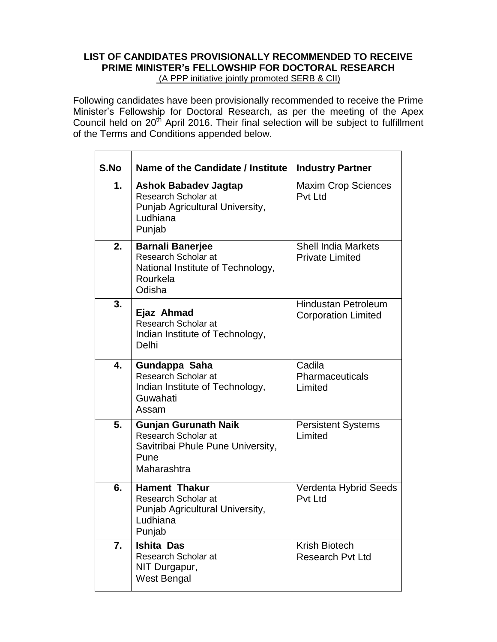# **LIST OF CANDIDATES PROVISIONALLY RECOMMENDED TO RECEIVE PRIME MINISTER's FELLOWSHIP FOR DOCTORAL RESEARCH**  (A PPP initiative jointly promoted SERB & CII)

Following candidates have been provisionally recommended to receive the Prime Minister's Fellowship for Doctoral Research, as per the meeting of the Apex Council held on 20th April 2016. Their final selection will be subject to fulfillment of the Terms and Conditions appended below.

| S.No | Name of the Candidate / Institute                                                                                  | <b>Industry Partner</b>                                  |
|------|--------------------------------------------------------------------------------------------------------------------|----------------------------------------------------------|
| 1.   | <b>Ashok Babadev Jagtap</b><br><b>Research Scholar at</b><br>Punjab Agricultural University,<br>Ludhiana<br>Punjab | <b>Maxim Crop Sciences</b><br>Pvt Ltd                    |
| 2.   | <b>Barnali Banerjee</b><br><b>Research Scholar at</b><br>National Institute of Technology,<br>Rourkela<br>Odisha   | <b>Shell India Markets</b><br><b>Private Limited</b>     |
| 3.   | Ejaz Ahmad<br><b>Research Scholar at</b><br>Indian Institute of Technology,<br>Delhi                               | <b>Hindustan Petroleum</b><br><b>Corporation Limited</b> |
| 4.   | Gundappa Saha<br>Research Scholar at<br>Indian Institute of Technology,<br>Guwahati<br>Assam                       | Cadila<br>Pharmaceuticals<br>Limited                     |
| 5.   | <b>Gunjan Gurunath Naik</b><br>Research Scholar at<br>Savitribai Phule Pune University,<br>Pune<br>Maharashtra     | <b>Persistent Systems</b><br>Limited                     |
| 6.   | <b>Hament Thakur</b><br><b>Research Scholar at</b><br>Punjab Agricultural University,<br>Ludhiana<br>Punjab        | Verdenta Hybrid Seeds<br><b>Pvt Ltd</b>                  |
| 7.   | <b>Ishita Das</b><br>Research Scholar at<br>NIT Durgapur,<br><b>West Bengal</b>                                    | Krish Biotech<br><b>Research Pyt Ltd</b>                 |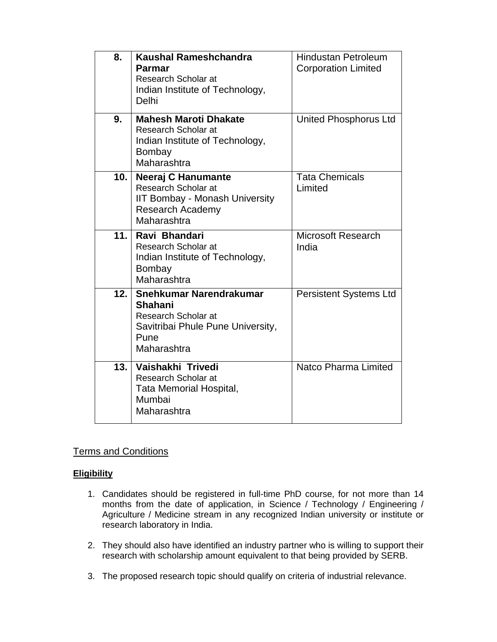| 8.   | <b>Kaushal Rameshchandra</b><br>Parmar<br><b>Research Scholar at</b><br>Indian Institute of Technology,<br>Delhi             | <b>Hindustan Petroleum</b><br><b>Corporation Limited</b> |
|------|------------------------------------------------------------------------------------------------------------------------------|----------------------------------------------------------|
| 9.   | <b>Mahesh Maroti Dhakate</b><br>Research Scholar at<br>Indian Institute of Technology,<br>Bombay<br>Maharashtra              | <b>United Phosphorus Ltd</b>                             |
| 10.  | Neeraj C Hanumante<br>Research Scholar at<br><b>IIT Bombay - Monash University</b><br><b>Research Academy</b><br>Maharashtra | <b>Tata Chemicals</b><br>Limited                         |
| 11.1 | Ravi Bhandari<br>Research Scholar at<br>Indian Institute of Technology,<br>Bombay<br>Maharashtra                             | <b>Microsoft Research</b><br>India                       |
| 12.  | Snehkumar Narendrakumar<br>Shahani<br>Research Scholar at<br>Savitribai Phule Pune University,<br>Pune<br>Maharashtra        | <b>Persistent Systems Ltd</b>                            |
| 13.  | Vaishakhi Trivedi<br>Research Scholar at<br>Tata Memorial Hospital,<br>Mumbai<br>Maharashtra                                 | Natco Pharma Limited                                     |

# Terms and Conditions

# **Eligibility**

- 1. Candidates should be registered in full-time PhD course, for not more than 14 months from the date of application, in Science / Technology / Engineering / Agriculture / Medicine stream in any recognized Indian university or institute or research laboratory in India.
- 2. They should also have identified an industry partner who is willing to support their research with scholarship amount equivalent to that being provided by SERB.
- 3. The proposed research topic should qualify on criteria of industrial relevance.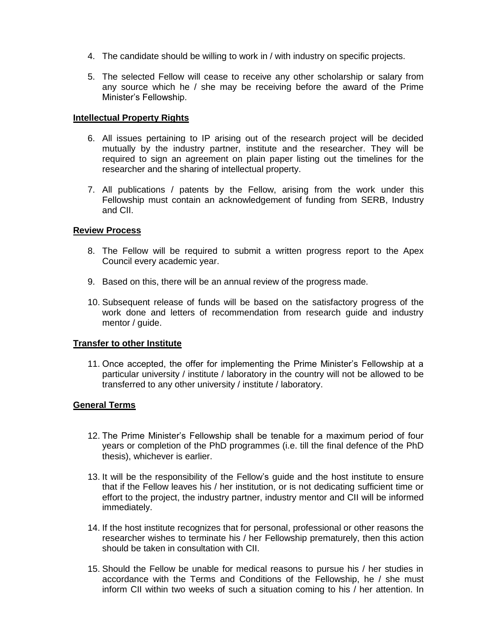- 4. The candidate should be willing to work in / with industry on specific projects.
- 5. The selected Fellow will cease to receive any other scholarship or salary from any source which he / she may be receiving before the award of the Prime Minister's Fellowship.

#### **Intellectual Property Rights**

- 6. All issues pertaining to IP arising out of the research project will be decided mutually by the industry partner, institute and the researcher. They will be required to sign an agreement on plain paper listing out the timelines for the researcher and the sharing of intellectual property.
- 7. All publications / patents by the Fellow, arising from the work under this Fellowship must contain an acknowledgement of funding from SERB, Industry and CII.

### **Review Process**

- 8. The Fellow will be required to submit a written progress report to the Apex Council every academic year.
- 9. Based on this, there will be an annual review of the progress made.
- 10. Subsequent release of funds will be based on the satisfactory progress of the work done and letters of recommendation from research guide and industry mentor / guide.

# **Transfer to other Institute**

11. Once accepted, the offer for implementing the Prime Minister's Fellowship at a particular university / institute / laboratory in the country will not be allowed to be transferred to any other university / institute / laboratory.

# **General Terms**

- 12. The Prime Minister's Fellowship shall be tenable for a maximum period of four years or completion of the PhD programmes (i.e. till the final defence of the PhD thesis), whichever is earlier.
- 13. It will be the responsibility of the Fellow's guide and the host institute to ensure that if the Fellow leaves his / her institution, or is not dedicating sufficient time or effort to the project, the industry partner, industry mentor and CII will be informed immediately.
- 14. If the host institute recognizes that for personal, professional or other reasons the researcher wishes to terminate his / her Fellowship prematurely, then this action should be taken in consultation with CII.
- 15. Should the Fellow be unable for medical reasons to pursue his / her studies in accordance with the Terms and Conditions of the Fellowship, he / she must inform CII within two weeks of such a situation coming to his / her attention. In